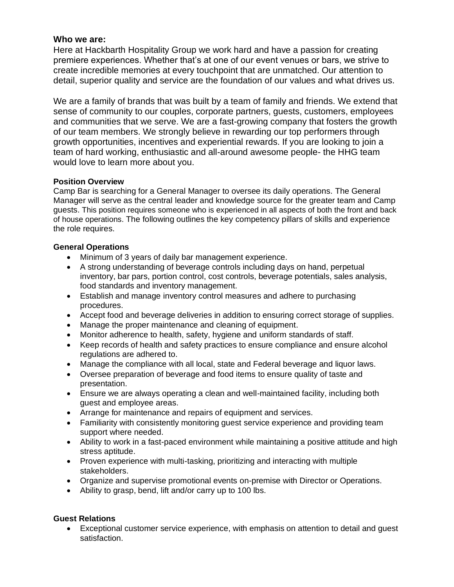# **Who we are:**

Here at Hackbarth Hospitality Group we work hard and have a passion for creating premiere experiences. Whether that's at one of our event venues or bars, we strive to create incredible memories at every touchpoint that are unmatched. Our attention to detail, superior quality and service are the foundation of our values and what drives us.

We are a family of brands that was built by a team of family and friends. We extend that sense of community to our couples, corporate partners, guests, customers, employees and communities that we serve. We are a fast-growing company that fosters the growth of our team members. We strongly believe in rewarding our top performers through growth opportunities, incentives and experiential rewards. If you are looking to join a team of hard working, enthusiastic and all-around awesome people- the HHG team would love to learn more about you.

# **Position Overview**

Camp Bar is searching for a General Manager to oversee its daily operations. The General Manager will serve as the central leader and knowledge source for the greater team and Camp guests. This position requires someone who is experienced in all aspects of both the front and back of house operations. The following outlines the key competency pillars of skills and experience the role requires.

# **General Operations**

- Minimum of 3 years of daily bar management experience.
- A strong understanding of beverage controls including days on hand, perpetual inventory, bar pars, portion control, cost controls, beverage potentials, sales analysis, food standards and inventory management.
- Establish and manage inventory control measures and adhere to purchasing procedures.
- Accept food and beverage deliveries in addition to ensuring correct storage of supplies.
- Manage the proper maintenance and cleaning of equipment.
- Monitor adherence to health, safety, hygiene and uniform standards of staff.
- Keep records of health and safety practices to ensure compliance and ensure alcohol regulations are adhered to.
- Manage the compliance with all local, state and Federal beverage and liquor laws.
- Oversee preparation of beverage and food items to ensure quality of taste and presentation.
- Ensure we are always operating a clean and well-maintained facility, including both guest and employee areas.
- Arrange for maintenance and repairs of equipment and services.
- Familiarity with consistently monitoring guest service experience and providing team support where needed.
- Ability to work in a fast-paced environment while maintaining a positive attitude and high stress aptitude.
- Proven experience with multi-tasking, prioritizing and interacting with multiple stakeholders.
- Organize and supervise promotional events on-premise with Director or Operations.
- Ability to grasp, bend, lift and/or carry up to 100 lbs.

### **Guest Relations**

• Exceptional customer service experience, with emphasis on attention to detail and guest satisfaction.